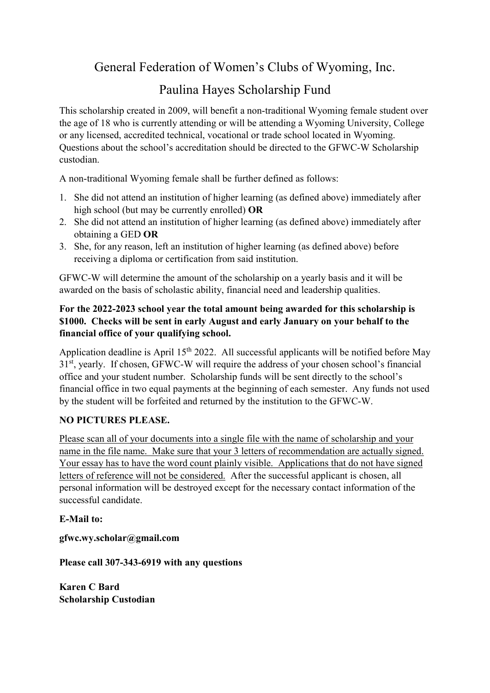General Federation of Women's Clubs of Wyoming, Inc.

# Paulina Hayes Scholarship Fund

This scholarship created in 2009, will benefit a non-traditional Wyoming female student over the age of 18 who is currently attending or will be attending a Wyoming University, College or any licensed, accredited technical, vocational or trade school located in Wyoming. Questions about the school's accreditation should be directed to the GFWC-W Scholarship custodian.

A non-traditional Wyoming female shall be further defined as follows:

- 1. She did not attend an institution of higher learning (as defined above) immediately after high school (but may be currently enrolled) OR
- 2. She did not attend an institution of higher learning (as defined above) immediately after obtaining a GED OR
- 3. She, for any reason, left an institution of higher learning (as defined above) before receiving a diploma or certification from said institution.

GFWC-W will determine the amount of the scholarship on a yearly basis and it will be awarded on the basis of scholastic ability, financial need and leadership qualities.

#### For the 2022-2023 school year the total amount being awarded for this scholarship is \$1000. Checks will be sent in early August and early January on your behalf to the financial office of your qualifying school.

Application deadline is April 15<sup>th</sup> 2022. All successful applicants will be notified before May 31<sup>st</sup>, yearly. If chosen, GFWC-W will require the address of your chosen school's financial office and your student number. Scholarship funds will be sent directly to the school's financial office in two equal payments at the beginning of each semester. Any funds not used by the student will be forfeited and returned by the institution to the GFWC-W.

### NO PICTURES PLEASE.

Please scan all of your documents into a single file with the name of scholarship and your name in the file name. Make sure that your 3 letters of recommendation are actually signed. Your essay has to have the word count plainly visible. Applications that do not have signed letters of reference will not be considered. After the successful applicant is chosen, all personal information will be destroyed except for the necessary contact information of the successful candidate.

E-Mail to:

gfwc.wy.scholar@gmail.com

Please call 307-343-6919 with any questions

Karen C Bard Scholarship Custodian